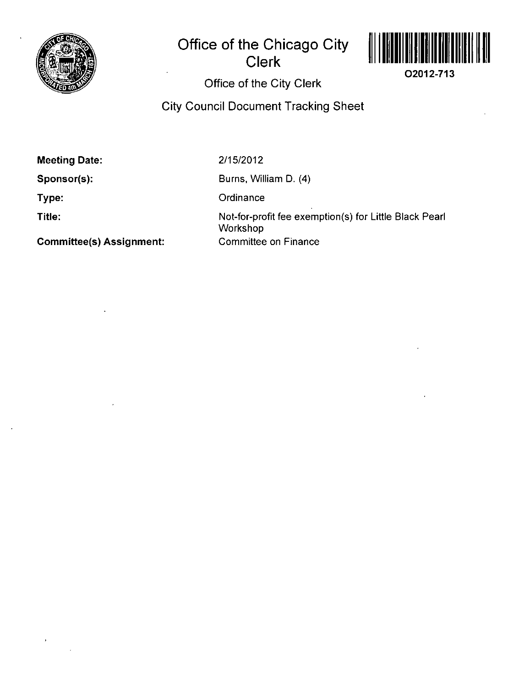

## **Office of the Chicago City Clerk**



**02012-713** 

## **Office of the City Clerk**

**City Council Document Tracking Sheet** 

**Meeting Date:** 

**Sponsor(s):** 

**Type:** 

**Title:** 

2/15/2012

Burns, William D. (4)

**Ordinance** 

Not-for-profit fee exemption(s) for Little Black Pearl **Workshop** Committee on Finance

**Committee(s) Assignment:**